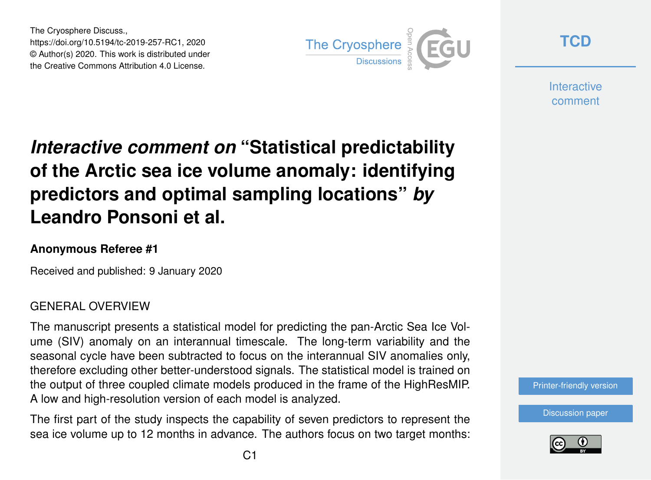The Cryosphere Discuss., https://doi.org/10.5194/tc-2019-257-RC1, 2020 © Author(s) 2020. This work is distributed under the Creative Commons Attribution 4.0 License.



**[TCD](https://www.the-cryosphere-discuss.net/)**

**Interactive** comment

# *Interactive comment on* **"Statistical predictability of the Arctic sea ice volume anomaly: identifying predictors and optimal sampling locations"** *by* **Leandro Ponsoni et al.**

#### **Anonymous Referee #1**

Received and published: 9 January 2020

### GENERAL OVERVIEW

The manuscript presents a statistical model for predicting the pan-Arctic Sea Ice Volume (SIV) anomaly on an interannual timescale. The long-term variability and the seasonal cycle have been subtracted to focus on the interannual SIV anomalies only, therefore excluding other better-understood signals. The statistical model is trained on the output of three coupled climate models produced in the frame of the HighResMIP. A low and high-resolution version of each model is analyzed.

The first part of the study inspects the capability of seven predictors to represent the sea ice volume up to 12 months in advance. The authors focus on two target months:



[Discussion paper](https://www.the-cryosphere-discuss.net/tc-2019-257)

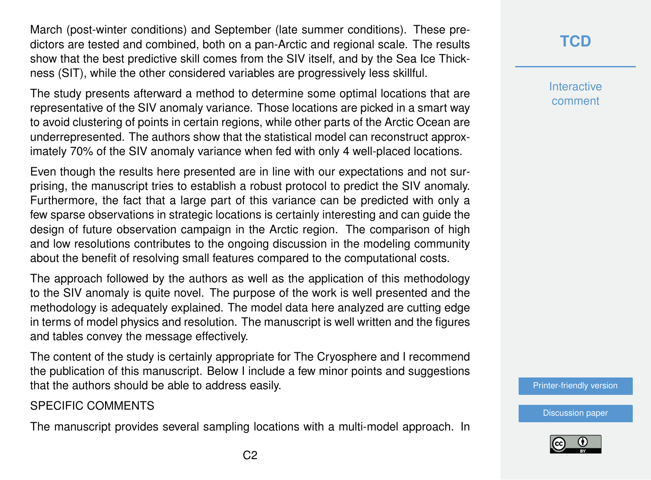March (post-winter conditions) and September (late summer conditions). These predictors are tested and combined, both on a pan-Arctic and regional scale. The results show that the best predictive skill comes from the SIV itself, and by the Sea Ice Thickness (SIT), while the other considered variables are progressively less skillful.

The study presents afterward a method to determine some optimal locations that are representative of the SIV anomaly variance. Those locations are picked in a smart way to avoid clustering of points in certain regions, while other parts of the Arctic Ocean are underrepresented. The authors show that the statistical model can reconstruct approximately 70% of the SIV anomaly variance when fed with only 4 well-placed locations.

Even though the results here presented are in line with our expectations and not surprising, the manuscript tries to establish a robust protocol to predict the SIV anomaly. Furthermore, the fact that a large part of this variance can be predicted with only a few sparse observations in strategic locations is certainly interesting and can guide the design of future observation campaign in the Arctic region. The comparison of high and low resolutions contributes to the ongoing discussion in the modeling community about the benefit of resolving small features compared to the computational costs.

The approach followed by the authors as well as the application of this methodology to the SIV anomaly is quite novel. The purpose of the work is well presented and the methodology is adequately explained. The model data here analyzed are cutting edge in terms of model physics and resolution. The manuscript is well written and the figures and tables convey the message effectively.

The content of the study is certainly appropriate for The Cryosphere and I recommend the publication of this manuscript. Below I include a few minor points and suggestions that the authors should be able to address easily.

#### SPECIFIC COMMENTS

The manuscript provides several sampling locations with a multi-model approach. In

## **[TCD](https://www.the-cryosphere-discuss.net/)**

**Interactive** comment

[Printer-friendly version](https://www.the-cryosphere-discuss.net/tc-2019-257/tc-2019-257-RC1-print.pdf)

[Discussion paper](https://www.the-cryosphere-discuss.net/tc-2019-257)